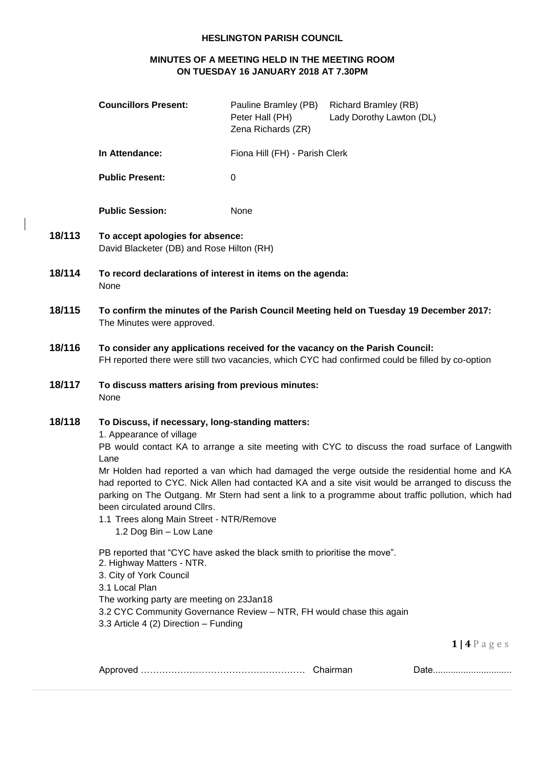#### **HESLINGTON PARISH COUNCIL**

### **MINUTES OF A MEETING HELD IN THE MEETING ROOM ON TUESDAY 16 JANUARY 2018 AT 7.30PM**

 $\overline{\phantom{a}}$ 

|        | <b>Councillors Present:</b>                                                                                                                                                                                                                                                                                                                                                                                                                                                                                                                                                                                                                                                                                         | Pauline Bramley (PB)<br>Peter Hall (PH)<br>Zena Richards (ZR) | <b>Richard Bramley (RB)</b><br>Lady Dorothy Lawton (DL) |
|--------|---------------------------------------------------------------------------------------------------------------------------------------------------------------------------------------------------------------------------------------------------------------------------------------------------------------------------------------------------------------------------------------------------------------------------------------------------------------------------------------------------------------------------------------------------------------------------------------------------------------------------------------------------------------------------------------------------------------------|---------------------------------------------------------------|---------------------------------------------------------|
|        | In Attendance:                                                                                                                                                                                                                                                                                                                                                                                                                                                                                                                                                                                                                                                                                                      | Fiona Hill (FH) - Parish Clerk                                |                                                         |
|        | <b>Public Present:</b>                                                                                                                                                                                                                                                                                                                                                                                                                                                                                                                                                                                                                                                                                              | 0                                                             |                                                         |
|        | <b>Public Session:</b>                                                                                                                                                                                                                                                                                                                                                                                                                                                                                                                                                                                                                                                                                              | None                                                          |                                                         |
| 18/113 | To accept apologies for absence:<br>David Blacketer (DB) and Rose Hilton (RH)                                                                                                                                                                                                                                                                                                                                                                                                                                                                                                                                                                                                                                       |                                                               |                                                         |
| 18/114 | To record declarations of interest in items on the agenda:<br>None                                                                                                                                                                                                                                                                                                                                                                                                                                                                                                                                                                                                                                                  |                                                               |                                                         |
| 18/115 | To confirm the minutes of the Parish Council Meeting held on Tuesday 19 December 2017:<br>The Minutes were approved.                                                                                                                                                                                                                                                                                                                                                                                                                                                                                                                                                                                                |                                                               |                                                         |
| 18/116 | To consider any applications received for the vacancy on the Parish Council:<br>FH reported there were still two vacancies, which CYC had confirmed could be filled by co-option                                                                                                                                                                                                                                                                                                                                                                                                                                                                                                                                    |                                                               |                                                         |
| 18/117 | To discuss matters arising from previous minutes:<br>None                                                                                                                                                                                                                                                                                                                                                                                                                                                                                                                                                                                                                                                           |                                                               |                                                         |
| 18/118 | To Discuss, if necessary, long-standing matters:<br>1. Appearance of village<br>PB would contact KA to arrange a site meeting with CYC to discuss the road surface of Langwith<br>Lane<br>Mr Holden had reported a van which had damaged the verge outside the residential home and KA<br>had reported to CYC. Nick Allen had contacted KA and a site visit would be arranged to discuss the<br>parking on The Outgang. Mr Stern had sent a link to a programme about traffic pollution, which had<br>been circulated around Cllrs.<br>1.1 Trees along Main Street - NTR/Remove<br>1.2 Dog Bin - Low Lane<br>PB reported that "CYC have asked the black smith to prioritise the move".<br>2. Highway Matters - NTR. |                                                               |                                                         |
|        | 3. City of York Council<br>3.1 Local Plan<br>The working party are meeting on 23Jan18<br>3.2 CYC Community Governance Review - NTR, FH would chase this again<br>3.3 Article 4 (2) Direction - Funding                                                                                                                                                                                                                                                                                                                                                                                                                                                                                                              |                                                               |                                                         |
|        |                                                                                                                                                                                                                                                                                                                                                                                                                                                                                                                                                                                                                                                                                                                     |                                                               | $111.0 \text{ g}$                                       |

**1 | 4** P a g e s

| ,,,, |  |
|------|--|
|      |  |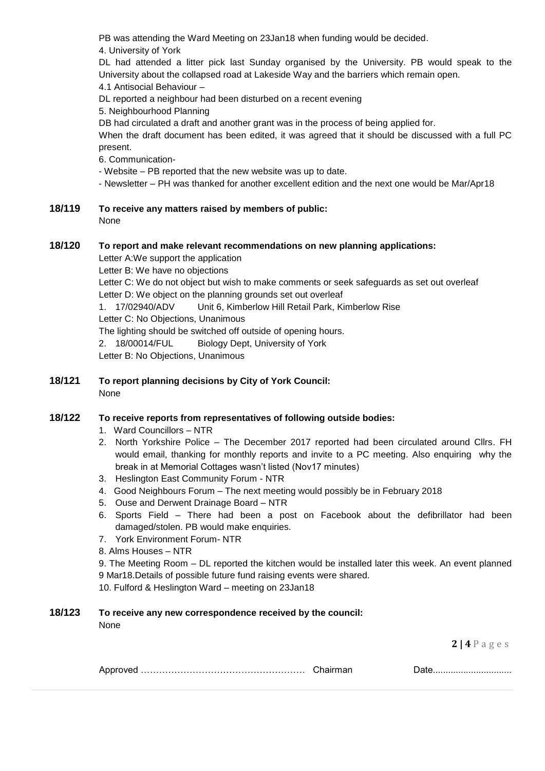PB was attending the Ward Meeting on 23Jan18 when funding would be decided.

4. University of York

DL had attended a litter pick last Sunday organised by the University. PB would speak to the University about the collapsed road at Lakeside Way and the barriers which remain open.

4.1 Antisocial Behaviour –

DL reported a neighbour had been disturbed on a recent evening

5. Neighbourhood Planning

DB had circulated a draft and another grant was in the process of being applied for.

When the draft document has been edited, it was agreed that it should be discussed with a full PC present.

6. Communication-

- Website – PB reported that the new website was up to date.

- Newsletter PH was thanked for another excellent edition and the next one would be Mar/Apr18
- **18/119 To receive any matters raised by members of public:**  None

# **18/120 To report and make relevant recommendations on new planning applications:**

Letter A:We support the application Letter B: We have no objections Letter C: We do not object but wish to make comments or seek safeguards as set out overleaf Letter D: We object on the planning grounds set out overleaf 1. 17/02940/ADV Unit 6, Kimberlow Hill Retail Park, Kimberlow Rise Letter C: No Objections, Unanimous The lighting should be switched off outside of opening hours. 2. 18/00014/FUL Biology Dept, University of York Letter B: No Objections, Unanimous

**18/121 To report planning decisions by City of York Council:** None

# **18/122 To receive reports from representatives of following outside bodies:**

- 1. Ward Councillors NTR
- 2. North Yorkshire Police The December 2017 reported had been circulated around Cllrs. FH would email, thanking for monthly reports and invite to a PC meeting. Also enquiring why the break in at Memorial Cottages wasn't listed (Nov17 minutes)
- 3. Heslington East Community Forum NTR
- 4. Good Neighbours Forum The next meeting would possibly be in February 2018
- 5. Ouse and Derwent Drainage Board NTR
- 6. Sports Field There had been a post on Facebook about the defibrillator had been damaged/stolen. PB would make enquiries.
- 7. York Environment Forum- NTR
- 8. Alms Houses NTR

9. The Meeting Room – DL reported the kitchen would be installed later this week. An event planned 9 Mar18.Details of possible future fund raising events were shared.

10. Fulford & Heslington Ward – meeting on 23Jan18

# **18/123 To receive any new correspondence received by the council:**

None

**2 | 4** P a g e s

|--|--|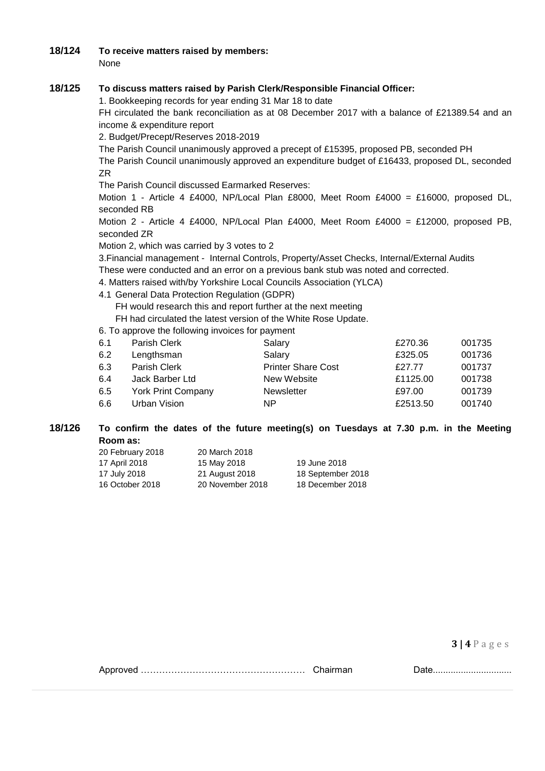#### **18/124 To receive matters raised by members:**

None

## **18/125 To discuss matters raised by Parish Clerk/Responsible Financial Officer:**

1. Bookkeeping records for year ending 31 Mar 18 to date

FH circulated the bank reconciliation as at 08 December 2017 with a balance of £21389.54 and an income & expenditure report

2. Budget/Precept/Reserves 2018-2019

The Parish Council unanimously approved a precept of £15395, proposed PB, seconded PH

The Parish Council unanimously approved an expenditure budget of £16433, proposed DL, seconded ZR

The Parish Council discussed Earmarked Reserves:

Motion 1 - Article 4 £4000, NP/Local Plan £8000, Meet Room £4000 = £16000, proposed DL, seconded RB

Motion 2 - Article 4 £4000, NP/Local Plan £4000, Meet Room £4000 = £12000, proposed PB, seconded ZR

Motion 2, which was carried by 3 votes to 2

3.Financial management - Internal Controls, Property/Asset Checks, Internal/External Audits These were conducted and an error on a previous bank stub was noted and corrected.

- 4. Matters raised with/by Yorkshire Local Councils Association (YLCA)
- 4.1 General Data Protection Regulation (GDPR)

FH would research this and report further at the next meeting

FH had circulated the latest version of the White Rose Update.

6. To approve the following invoices for payment

| 6.1 | Parish Clerk              | Salary                    | £270.36  | 001735 |
|-----|---------------------------|---------------------------|----------|--------|
| 6.2 | Lengthsman                | Salary                    | £325.05  | 001736 |
| 6.3 | Parish Clerk              | <b>Printer Share Cost</b> | £27.77   | 001737 |
| 6.4 | Jack Barber Ltd           | New Website               | £1125.00 | 001738 |
| 6.5 | <b>York Print Company</b> | <b>Newsletter</b>         | £97.00   | 001739 |
| 6.6 | Urban Vision              | ΝP                        | £2513.50 | 001740 |
|     |                           |                           |          |        |

#### **18/126 To confirm the dates of the future meeting(s) on Tuesdays at 7.30 p.m. in the Meeting Room as:**

| 20 February 2018 | 20 March 2018    |                   |
|------------------|------------------|-------------------|
| 17 April 2018    | 15 May 2018      | 19 June 2018      |
| 17 July 2018     | 21 August 2018   | 18 September 2018 |
| 16 October 2018  | 20 November 2018 | 18 December 2018  |

**3 | 4** P a g e s

| Chairman |  |
|----------|--|
|          |  |

Approved ……………………………………………… Chairman Date...............................